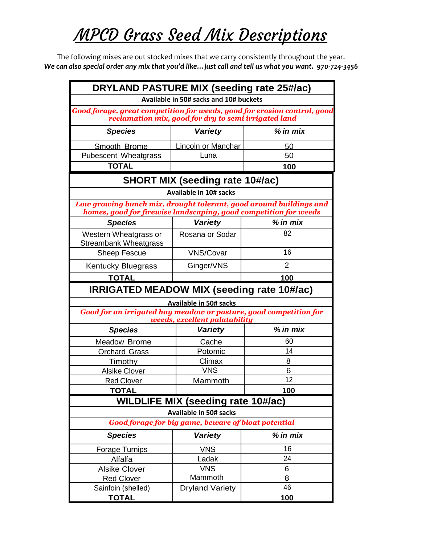## MPCD Grass Seed Mix Descriptions

The following mixes are out stocked mixes that we carry consistently throughout the year. *We can also special order any mix that you'd like…just call and tell us what you want. 970-724-3456*

| DRYLAND PASTURE MIX (seeding rate 25#/ac)                                                                                                                                  |                                           |                |  |  |
|----------------------------------------------------------------------------------------------------------------------------------------------------------------------------|-------------------------------------------|----------------|--|--|
| Available in 50# sacks and 10# buckets<br>Good forage, great competition for weeds, good for erosion control, good<br>reclamation mix, good for dry to semi irrigated land |                                           |                |  |  |
|                                                                                                                                                                            |                                           |                |  |  |
| Smooth Brome                                                                                                                                                               | <b>Lincoln or Manchar</b>                 | 50             |  |  |
| <b>Pubescent Wheatgrass</b>                                                                                                                                                | Luna                                      | 50             |  |  |
| <b>TOTAL</b>                                                                                                                                                               |                                           | 100            |  |  |
| <b>SHORT MIX (seeding rate 10#/ac)</b>                                                                                                                                     |                                           |                |  |  |
|                                                                                                                                                                            | <b>Available in 10# sacks</b>             |                |  |  |
| Low growing bunch mix, drought tolerant, good around buildings and<br>homes, good for firewise landscaping, good competition for weeds                                     |                                           |                |  |  |
| <b>Species</b>                                                                                                                                                             | <b>Variety</b>                            | $%$ in mix     |  |  |
| Western Wheatgrass or<br><b>Streambank Wheatgrass</b>                                                                                                                      | Rosana or Sodar                           | 82             |  |  |
| <b>Sheep Fescue</b>                                                                                                                                                        | <b>VNS/Covar</b>                          | 16             |  |  |
| <b>Kentucky Bluegrass</b>                                                                                                                                                  | Ginger/VNS                                | $\overline{2}$ |  |  |
| <b>TOTAL</b>                                                                                                                                                               |                                           | 100            |  |  |
| IRRIGATED MEADOW MIX (seeding rate 10#/ac)                                                                                                                                 |                                           |                |  |  |
| <b>Available in 50# sacks</b>                                                                                                                                              |                                           |                |  |  |
| Good for an irrigated hay meadow or pasture, good competition for<br>weeds, excellent palatability                                                                         |                                           |                |  |  |
| <b>Species</b>                                                                                                                                                             | <b>Variety</b>                            | $%$ in mix     |  |  |
| Meadow Brome                                                                                                                                                               | Cache                                     | 60             |  |  |
| <b>Orchard Grass</b>                                                                                                                                                       | Potomic                                   | 14             |  |  |
| Timothy                                                                                                                                                                    | Climax                                    | 8              |  |  |
| <b>Alsike Clover</b>                                                                                                                                                       | <b>VNS</b>                                | 6              |  |  |
| <b>Red Clover</b>                                                                                                                                                          | Mammoth                                   | 12             |  |  |
| <b>TOTAL</b>                                                                                                                                                               |                                           | 100            |  |  |
|                                                                                                                                                                            | <b>WILDLIFE MIX (seeding rate 10#/ac)</b> |                |  |  |
|                                                                                                                                                                            | <b>Available in 50# sacks</b>             |                |  |  |
| <b>Good forage for big game, beware of bloat potential</b>                                                                                                                 |                                           |                |  |  |
| <b>Species</b>                                                                                                                                                             | Variety                                   | $%$ in mix     |  |  |
| Forage Turnips                                                                                                                                                             | <b>VNS</b>                                | 16             |  |  |
| Alfalfa                                                                                                                                                                    | Ladak                                     | 24             |  |  |
| <b>Alsike Clover</b>                                                                                                                                                       | <b>VNS</b>                                | 6              |  |  |
| <b>Red Clover</b>                                                                                                                                                          | Mammoth                                   | 8              |  |  |
| Sainfoin (shelled)                                                                                                                                                         | <b>Dryland Variety</b>                    | 46             |  |  |
| <b>TOTAL</b>                                                                                                                                                               |                                           | 100            |  |  |